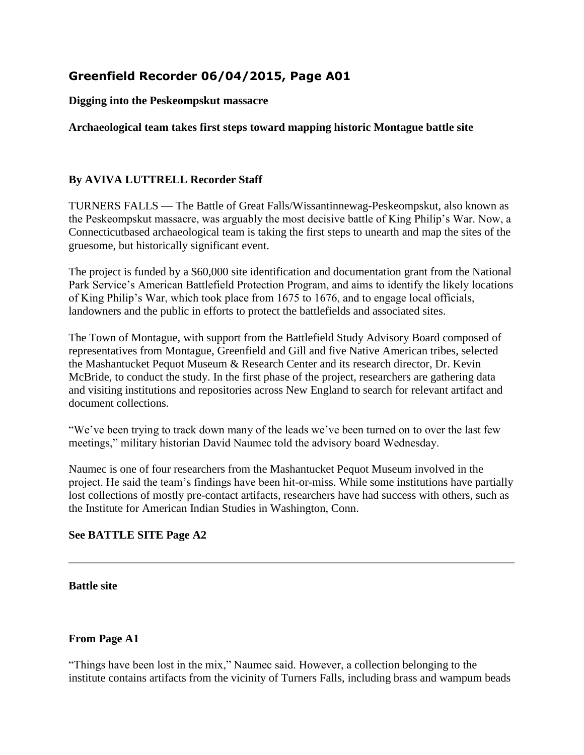## **Greenfield Recorder 06/04/2015, Page A01**

**Digging into the Peskeompskut massacre**

**Archaeological team takes first steps toward mapping historic Montague battle site**

## **By AVIVA LUTTRELL Recorder Staff**

TURNERS FALLS — The Battle of Great Falls/Wissantinnewag-Peskeompskut, also known as the Peskeompskut massacre, was arguably the most decisive battle of King Philip's War. Now, a Connecticutbased archaeological team is taking the first steps to unearth and map the sites of the gruesome, but historically significant event.

The project is funded by a \$60,000 site identification and documentation grant from the National Park Service's American Battlefield Protection Program, and aims to identify the likely locations of King Philip's War, which took place from 1675 to 1676, and to engage local officials, landowners and the public in efforts to protect the battlefields and associated sites.

The Town of Montague, with support from the Battlefield Study Advisory Board composed of representatives from Montague, Greenfield and Gill and five Native American tribes, selected the Mashantucket Pequot Museum & Research Center and its research director, Dr. Kevin McBride, to conduct the study. In the first phase of the project, researchers are gathering data and visiting institutions and repositories across New England to search for relevant artifact and document collections.

"We've been trying to track down many of the leads we've been turned on to over the last few meetings," military historian David Naumec told the advisory board Wednesday.

Naumec is one of four researchers from the Mashantucket Pequot Museum involved in the project. He said the team's findings have been hit-or-miss. While some institutions have partially lost collections of mostly pre-contact artifacts, researchers have had success with others, such as the Institute for American Indian Studies in Washington, Conn.

## **See BATTLE SITE Page A2**

**Battle site**

## **From Page A1**

"Things have been lost in the mix," Naumec said. However, a collection belonging to the institute contains artifacts from the vicinity of Turners Falls, including brass and wampum beads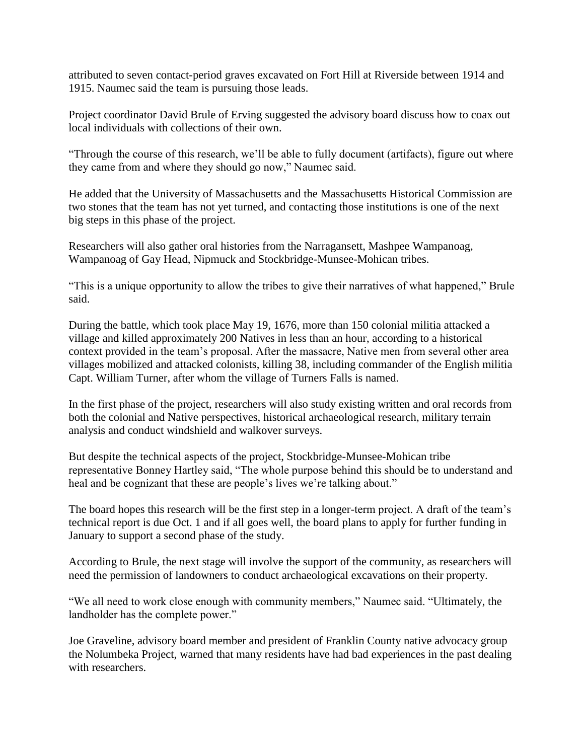attributed to seven contact-period graves excavated on Fort Hill at Riverside between 1914 and 1915. Naumec said the team is pursuing those leads.

Project coordinator David Brule of Erving suggested the advisory board discuss how to coax out local individuals with collections of their own.

"Through the course of this research, we'll be able to fully document (artifacts), figure out where they came from and where they should go now," Naumec said.

He added that the University of Massachusetts and the Massachusetts Historical Commission are two stones that the team has not yet turned, and contacting those institutions is one of the next big steps in this phase of the project.

Researchers will also gather oral histories from the Narragansett, Mashpee Wampanoag, Wampanoag of Gay Head, Nipmuck and Stockbridge-Munsee-Mohican tribes.

"This is a unique opportunity to allow the tribes to give their narratives of what happened," Brule said.

During the battle, which took place May 19, 1676, more than 150 colonial militia attacked a village and killed approximately 200 Natives in less than an hour, according to a historical context provided in the team's proposal. After the massacre, Native men from several other area villages mobilized and attacked colonists, killing 38, including commander of the English militia Capt. William Turner, after whom the village of Turners Falls is named.

In the first phase of the project, researchers will also study existing written and oral records from both the colonial and Native perspectives, historical archaeological research, military terrain analysis and conduct windshield and walkover surveys.

But despite the technical aspects of the project, Stockbridge-Munsee-Mohican tribe representative Bonney Hartley said, "The whole purpose behind this should be to understand and heal and be cognizant that these are people's lives we're talking about."

The board hopes this research will be the first step in a longer-term project. A draft of the team's technical report is due Oct. 1 and if all goes well, the board plans to apply for further funding in January to support a second phase of the study.

According to Brule, the next stage will involve the support of the community, as researchers will need the permission of landowners to conduct archaeological excavations on their property.

"We all need to work close enough with community members," Naumec said. "Ultimately, the landholder has the complete power."

Joe Graveline, advisory board member and president of Franklin County native advocacy group the Nolumbeka Project, warned that many residents have had bad experiences in the past dealing with researchers.